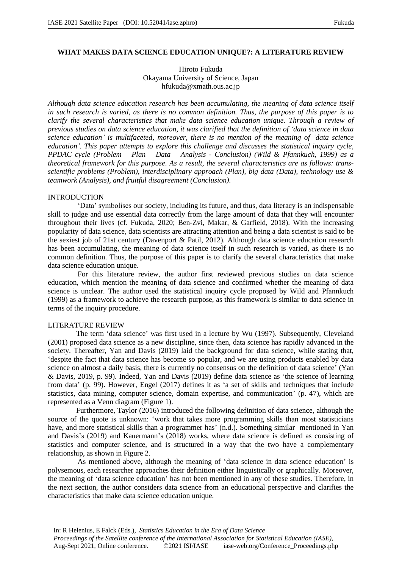# **WHAT MAKES DATA SCIENCE EDUCATION UNIQUE?: A LITERATURE REVIEW**

Hiroto Fukuda Okayama University of Science, Japan hfukuda@xmath.ous.ac.jp

*Although data science education research has been accumulating, the meaning of data science itself in such research is varied, as there is no common definition. Thus, the purpose of this paper is to clarify the several characteristics that make data science education unique. Through a review of previous studies on data science education, it was clarified that the definition of 'data science in data science education' is multifaceted, moreover, there is no mention of the meaning of 'data science education'. This paper attempts to explore this challenge and discusses the statistical inquiry cycle, PPDAC cycle (Problem – Plan – Data – Analysis - Conclusion) (Wild & Pfannkuch, 1999) as a theoretical framework for this purpose. As a result, the several characteristics are as follows: transscientific problems (Problem), interdisciplinary approach (Plan), big data (Data), technology use & teamwork (Analysis), and fruitful disagreement (Conclusion).*

## INTRODUCTION

'Data' symbolises our society, including its future, and thus, data literacy is an indispensable skill to judge and use essential data correctly from the large amount of data that they will encounter throughout their lives (cf. Fukuda, 2020; Ben-Zvi, Makar, & Garfield, 2018). With the increasing popularity of data science, data scientists are attracting attention and being a data scientist is said to be the sexiest job of 21st century (Davenport & Patil, 2012). Although data science education research has been accumulating, the meaning of data science itself in such research is varied, as there is no common definition. Thus, the purpose of this paper is to clarify the several characteristics that make data science education unique.

For this literature review, the author first reviewed previous studies on data science education, which mention the meaning of data science and confirmed whether the meaning of data science is unclear. The author used the statistical inquiry cycle proposed by Wild and Pfannkuch (1999) as a framework to achieve the research purpose, as this framework is similar to data science in terms of the inquiry procedure.

## LITERATURE REVIEW

The term 'data science' was first used in a lecture by Wu (1997). Subsequently, Cleveland (2001) proposed data science as a new discipline, since then, data science has rapidly advanced in the society. Thereafter, Yan and Davis (2019) laid the background for data science, while stating that, 'despite the fact that data science has become so popular, and we are using products enabled by data science on almost a daily basis, there is currently no consensus on the definition of data science' (Yan & Davis, 2019, p. 99). Indeed, Yan and Davis (2019) define data science as 'the science of learning from data' (p. 99). However, Engel (2017) defines it as 'a set of skills and techniques that include statistics, data mining, computer science, domain expertise, and communication' (p. 47), which are represented as a Venn diagram (Figure 1).

Furthermore, Taylor (2016) introduced the following definition of data science, although the source of the quote is unknown: 'work that takes more programming skills than most statisticians have, and more statistical skills than a programmer has' (n.d.). Something similar mentioned in Yan and Davis's (2019) and Kauermann's (2018) works, where data science is defined as consisting of statistics and computer science, and is structured in a way that the two have a complementary relationship, as shown in Figure 2.

As mentioned above, although the meaning of 'data science in data science education' is polysemous, each researcher approaches their definition either linguistically or graphically. Moreover, the meaning of 'data science education' has not been mentioned in any of these studies. Therefore, in the next section, the author considers data science from an educational perspective and clarifies the characteristics that make data science education unique.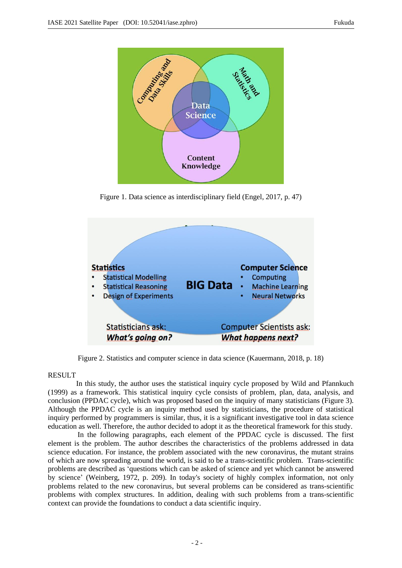

Figure 1. Data science as interdisciplinary field (Engel, 2017, p. 47)



Figure 2. Statistics and computer science in data science (Kauermann, 2018, p. 18)

# RESULT

In this study, the author uses the statistical inquiry cycle proposed by Wild and Pfannkuch (1999) as a framework. This statistical inquiry cycle consists of problem, plan, data, analysis, and conclusion (PPDAC cycle), which was proposed based on the inquiry of many statisticians (Figure 3). Although the PPDAC cycle is an inquiry method used by statisticians, the procedure of statistical inquiry performed by programmers is similar, thus, it is a significant investigative tool in data science education as well. Therefore, the author decided to adopt it as the theoretical framework for this study.

In the following paragraphs, each element of the PPDAC cycle is discussed. The first element is the problem. The author describes the characteristics of the problems addressed in data science education. For instance, the problem associated with the new coronavirus, the mutant strains of which are now spreading around the world, is said to be a trans-scientific problem. Trans-scientific problems are described as 'questions which can be asked of science and yet which cannot be answered by science' (Weinberg, 1972, p. 209). In today's society of highly complex information, not only problems related to the new coronavirus, but several problems can be considered as trans-scientific problems with complex structures. In addition, dealing with such problems from a trans-scientific context can provide the foundations to conduct a data scientific inquiry.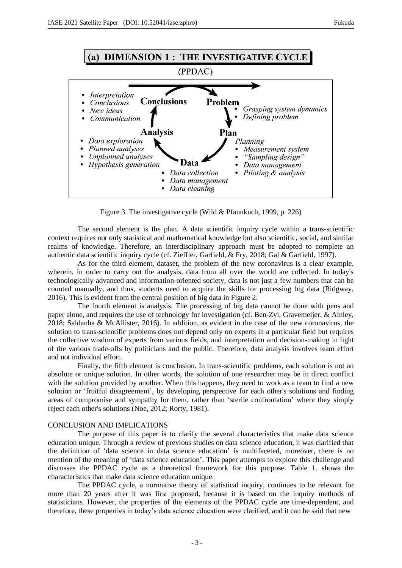

Figure 3. The investigative cycle (Wild & Pfannkuch, 1999, p. 226)

The second element is the plan. A data scientific inquiry cycle within a trans-scientific context requires not only statistical and mathematical knowledge but also scientific, social, and similar realms of knowledge. Therefore, an interdisciplinary approach must be adopted to complete an authentic data scientific inquiry cycle (cf. Zieffler, Garfield, & Fry, 2018; Gal & Garfield, 1997).

As for the third element, dataset, the problem of the new coronavirus is a clear example, wherein, in order to carry out the analysis, data from all over the world are collected. In today's technologically advanced and information-oriented society, data is not just a few numbers that can be counted manually, and thus, students need to acquire the skills for processing big data (Ridgway, 2016). This is evident from the central position of big data in Figure 2.

The fourth element is analysis. The processing of big data cannot be done with pens and paper alone, and requires the use of technology for investigation (cf. Ben-Zvi, Gravemeijer, & Ainley, 2018; Saldanha & McAllister, 2016). In addition, as evident in the case of the new coronavirus, the solution to trans-scientific problems does not depend only on experts in a particular field but requires the collective wisdom of experts from various fields, and interpretation and decision-making in light of the various trade-offs by politicians and the public. Therefore, data analysis involves team effort and not individual effort.

Finally, the fifth element is conclusion. In trans-scientific problems, each solution is not an absolute or unique solution. In other words, the solution of one researcher may be in direct conflict with the solution provided by another. When this happens, they need to work as a team to find a new solution or 'fruitful disagreement', by developing perspective for each other's solutions and finding areas of compromise and sympathy for them, rather than 'sterile confrontation' where they simply reject each other's solutions (Noe, 2012; Rorty, 1981).

### CONCLUSION AND IMPLICATIONS

The purpose of this paper is to clarify the several characteristics that make data science education unique. Through a review of previous studies on data science education, it was clarified that the definition of 'data science in data science education' is multifaceted, moreover, there is no mention of the meaning of 'data science education'. This paper attempts to explore this challenge and discusses the PPDAC cycle as a theoretical framework for this purpose. Table 1. shows the characteristics that make data science education unique.

The PPDAC cycle, a normative theory of statistical inquiry, continues to be relevant for more than 20 years after it was first proposed, because it is based on the inquiry methods of statisticians. However, the properties of the elements of the PPDAC cycle are time-dependent, and therefore, these properties in today's data science education were clarified, and it can be said that new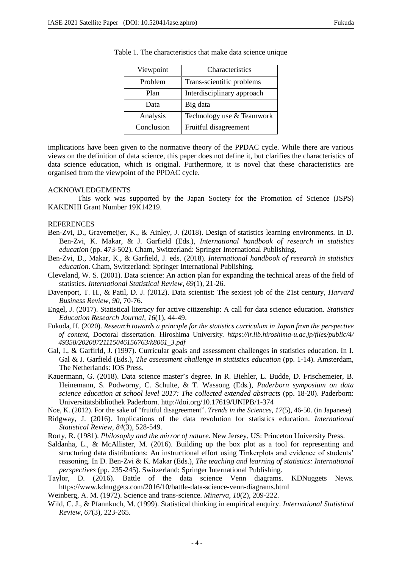| Viewpoint  | Characteristics            |
|------------|----------------------------|
| Problem    | Trans-scientific problems  |
| Plan       | Interdisciplinary approach |
| Data       | Big data                   |
| Analysis   | Technology use & Teamwork  |
| Conclusion | Fruitful disagreement      |

Table 1. The characteristics that make data science unique

implications have been given to the normative theory of the PPDAC cycle. While there are various views on the definition of data science, this paper does not define it, but clarifies the characteristics of data science education, which is original. Furthermore, it is novel that these characteristics are organised from the viewpoint of the PPDAC cycle.

### ACKNOWLEDGEMENTS

This work was supported by the Japan Society for the Promotion of Science (JSPS) KAKENHI Grant Number 19K14219.

### **REFERENCES**

- Ben-Zvi, D., Gravemeijer, K., & Ainley, J. (2018). Design of statistics learning environments. In D. Ben-Zvi, K. Makar, & J. Garfield (Eds.), *International handbook of research in statistics education* (pp. 473-502). Cham, Switzerland: Springer International Publishing.
- Ben-Zvi, D., Makar, K., & Garfield, J. eds. (2018). *International handbook of research in statistics education*. Cham, Switzerland: Springer International Publishing.
- Cleveland, W. S. (2001). Data science: An action plan for expanding the technical areas of the field of statistics. *International Statistical Review*, *69*(1), 21-26.
- Davenport, T. H., & Patil, D. J. (2012). Data scientist: The sexiest job of the 21st century, *Harvard Business Review*, *90*, 70-76.
- Engel, J. (2017). Statistical literacy for active citizenship: A call for data science education. *Statistics Education Research Journal*, *16*(1), 44-49.
- Fukuda, H. (2020). *Research towards a principle for the statistics curriculum in Japan from the perspective of context*, Doctoral dissertation. Hiroshima University. *https://ir.lib.hiroshima-u.ac.jp/files/public/4/ 49358/20200721115046156763/k8061\_3.pdf*
- Gal, I., & Garfirld, J. (1997). Curricular goals and assessment challenges in statistics education. In I. Gal & J. Garfield (Eds.), *The assessment challenge in statistics education* (pp. 1-14). Amsterdam, The Netherlands: IOS Press.
- Kauermann, G. (2018). Data science master's degree. In R. Biehler, L. Budde, D. Frischemeier, B. Heinemann, S. Podworny, C. Schulte, & T. Wassong (Eds.), *Paderborn symposium on data science education at school level 2017: The collected extended abstracts* (pp. 18-20). Paderborn: Universitätsbibliothek Paderborn. http://doi.org/10.17619/UNIPB/1-374
- Noe, K. (2012). For the sake of "fruitful disagreement". *Trends in the Sciences*, *17*(5), 46-50. (in Japanese)
- Ridgway, J. (2016). Implications of the data revolution for statistics education. *International Statistical Review*, *84*(3), 528-549.
- Rorty, R. (1981). *Philosophy and the mirror of nature*. New Jersey, US: Princeton University Press.
- Saldanha, L., & McAllister, M. (2016). Building up the box plot as a tool for representing and structuring data distributions: An instructional effort using Tinkerplots and evidence of students' reasoning. In D. Ben-Zvi & K. Makar (Eds.), *The teaching and learning of statistics: International perspectives* (pp. 235-245). Switzerland: Springer International Publishing.
- Taylor, D. (2016). Battle of the data science Venn diagrams. KDNuggets News. https://www.kdnuggets.com/2016/10/battle-data-science-venn-diagrams.html
- Weinberg, A. M. (1972). Science and trans-science. *Minerva*, *10*(2), 209-222.
- Wild, C. J., & Pfannkuch, M. (1999). Statistical thinking in empirical enquiry. *International Statistical Review*, *67*(3), 223-265.